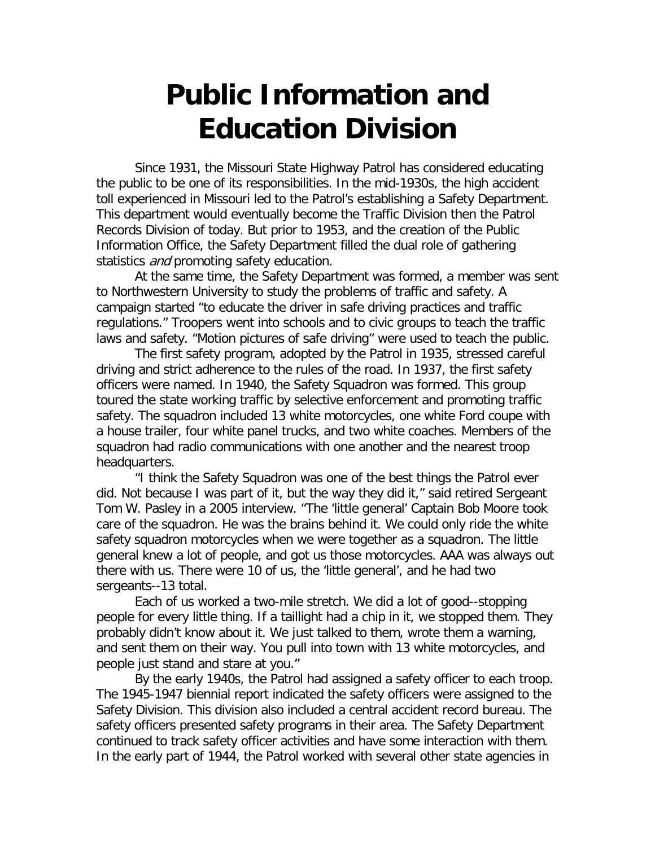# **Public Information and Education Division**

Since 1931, the Missouri State Highway Patrol has considered educating the public to be one of its responsibilities. In the mid-1930s, the high accident toll experienced in Missouri led to the Patrol's establishing a Safety Department. This department would eventually become the Traffic Division then the Patrol Records Division of today. But prior to 1953, and the creation of the Public Information Office, the Safety Department filled the dual role of gathering statistics *and* promoting safety education.

At the same time, the Safety Department was formed, a member was sent to Northwestern University to study the problems of traffic and safety. A campaign started "to educate the driver in safe driving practices and traffic regulations." Troopers went into schools and to civic groups to teach the traffic laws and safety. "Motion pictures of safe driving" were used to teach the public.

The first safety program, adopted by the Patrol in 1935, stressed careful driving and strict adherence to the rules of the road. In 1937, the first safety officers were named. In 1940, the Safety Squadron was formed. This group toured the state working traffic by selective enforcement and promoting traffic safety. The squadron included 13 white motorcycles, one white Ford coupe with a house trailer, four white panel trucks, and two white coaches. Members of the squadron had radio communications with one another and the nearest troop headquarters.

"I think the Safety Squadron was one of the best things the Patrol ever did. Not because I was part of it, but the way they did it," said retired Sergeant Tom W. Pasley in a 2005 interview. "The 'little general' Captain Bob Moore took care of the squadron. He was the brains behind it. We could only ride the white safety squadron motorcycles when we were together as a squadron. The little general knew a lot of people, and got us those motorcycles. AAA was always out there with us. There were 10 of us, the 'little general', and he had two sergeants--13 total.

Each of us worked a two-mile stretch. We did a lot of good--stopping people for every little thing. If a taillight had a chip in it, we stopped them. They probably didn't know about it. We just talked to them, wrote them a warning, and sent them on their way. You pull into town with 13 white motorcycles, and people just stand and stare at you."

By the early 1940s, the Patrol had assigned a safety officer to each troop. The 1945-1947 biennial report indicated the safety officers were assigned to the Safety Division. This division also included a central accident record bureau. The safety officers presented safety programs in their area. The Safety Department continued to track safety officer activities and have some interaction with them. In the early part of 1944, the Patrol worked with several other state agencies in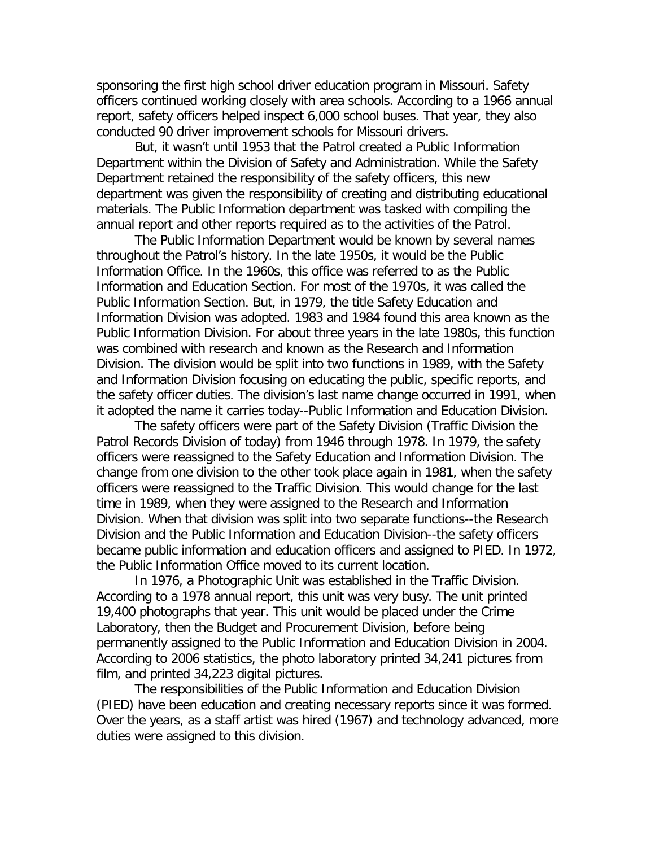sponsoring the first high school driver education program in Missouri. Safety officers continued working closely with area schools. According to a 1966 annual report, safety officers helped inspect 6,000 school buses. That year, they also conducted 90 driver improvement schools for Missouri drivers.

But, it wasn't until 1953 that the Patrol created a Public Information Department within the Division of Safety and Administration. While the Safety Department retained the responsibility of the safety officers, this new department was given the responsibility of creating and distributing educational materials. The Public Information department was tasked with compiling the annual report and other reports required as to the activities of the Patrol.

The Public Information Department would be known by several names throughout the Patrol's history. In the late 1950s, it would be the Public Information Office. In the 1960s, this office was referred to as the Public Information and Education Section. For most of the 1970s, it was called the Public Information Section. But, in 1979, the title Safety Education and Information Division was adopted. 1983 and 1984 found this area known as the Public Information Division. For about three years in the late 1980s, this function was combined with research and known as the Research and Information Division. The division would be split into two functions in 1989, with the Safety and Information Division focusing on educating the public, specific reports, and the safety officer duties. The division's last name change occurred in 1991, when it adopted the name it carries today--Public Information and Education Division.

The safety officers were part of the Safety Division (Traffic Division the Patrol Records Division of today) from 1946 through 1978. In 1979, the safety officers were reassigned to the Safety Education and Information Division. The change from one division to the other took place again in 1981, when the safety officers were reassigned to the Traffic Division. This would change for the last time in 1989, when they were assigned to the Research and Information Division. When that division was split into two separate functions--the Research Division and the Public Information and Education Division--the safety officers became public information and education officers and assigned to PIED. In 1972, the Public Information Office moved to its current location.

In 1976, a Photographic Unit was established in the Traffic Division. According to a 1978 annual report, this unit was very busy. The unit printed 19,400 photographs that year. This unit would be placed under the Crime Laboratory, then the Budget and Procurement Division, before being permanently assigned to the Public Information and Education Division in 2004. According to 2006 statistics, the photo laboratory printed 34,241 pictures from film, and printed 34,223 digital pictures.

The responsibilities of the Public Information and Education Division (PIED) have been education and creating necessary reports since it was formed. Over the years, as a staff artist was hired (1967) and technology advanced, more duties were assigned to this division.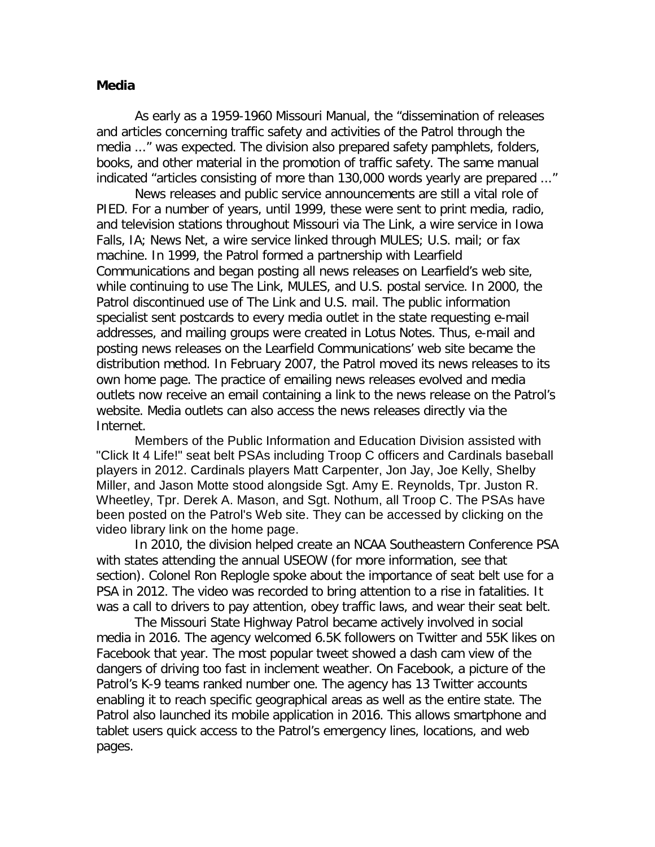#### **Media**

As early as a 1959-1960 Missouri Manual, the "dissemination of releases and articles concerning traffic safety and activities of the Patrol through the media ..." was expected. The division also prepared safety pamphlets, folders, books, and other material in the promotion of traffic safety. The same manual indicated "articles consisting of more than 130,000 words yearly are prepared ..."

News releases and public service announcements are still a vital role of PIED. For a number of years, until 1999, these were sent to print media, radio, and television stations throughout Missouri via The Link, a wire service in Iowa Falls, IA; News Net, a wire service linked through MULES; U.S. mail; or fax machine. In 1999, the Patrol formed a partnership with Learfield Communications and began posting all news releases on Learfield's web site, while continuing to use The Link, MULES, and U.S. postal service. In 2000, the Patrol discontinued use of The Link and U.S. mail. The public information specialist sent postcards to every media outlet in the state requesting e-mail addresses, and mailing groups were created in Lotus Notes. Thus, e-mail and posting news releases on the Learfield Communications' web site became the distribution method. In February 2007, the Patrol moved its news releases to its own home page. The practice of emailing news releases evolved and media outlets now receive an email containing a link to the news release on the Patrol's website. Media outlets can also access the news releases directly via the Internet.

Members of the Public Information and Education Division assisted with "Click It 4 Life!" seat belt PSAs including Troop C officers and Cardinals baseball players in 2012. Cardinals players Matt Carpenter, Jon Jay, Joe Kelly, Shelby Miller, and Jason Motte stood alongside Sgt. Amy E. Reynolds, Tpr. Juston R. Wheetley, Tpr. Derek A. Mason, and Sgt. Nothum, all Troop C. The PSAs have been posted on the Patrol's Web site. They can be accessed by clicking on the video library link on the home page.

In 2010, the division helped create an NCAA Southeastern Conference PSA with states attending the annual USEOW (for more information, see that section). Colonel Ron Replogle spoke about the importance of seat belt use for a PSA in 2012. The video was recorded to bring attention to a rise in fatalities. It was a call to drivers to pay attention, obey traffic laws, and wear their seat belt.

The Missouri State Highway Patrol became actively involved in social media in 2016. The agency welcomed 6.5K followers on Twitter and 55K likes on Facebook that year. The most popular tweet showed a dash cam view of the dangers of driving too fast in inclement weather. On Facebook, a picture of the Patrol's K-9 teams ranked number one. The agency has 13 Twitter accounts enabling it to reach specific geographical areas as well as the entire state. The Patrol also launched its mobile application in 2016. This allows smartphone and tablet users quick access to the Patrol's emergency lines, locations, and web pages.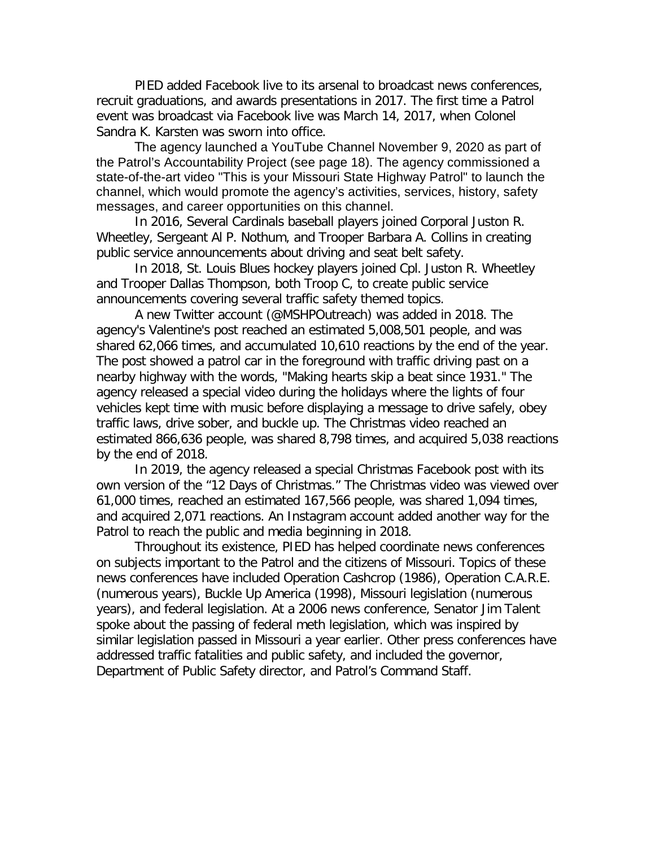PIED added Facebook live to its arsenal to broadcast news conferences, recruit graduations, and awards presentations in 2017. The first time a Patrol event was broadcast via Facebook live was March 14, 2017, when Colonel Sandra K. Karsten was sworn into office.

The agency launched a YouTube Channel November 9, 2020 as part of the Patrol's Accountability Project (see page 18). The agency commissioned a state-of-the-art video "This is your Missouri State Highway Patrol" to launch the channel, which would promote the agency's activities, services, history, safety messages, and career opportunities on this channel.

In 2016, Several Cardinals baseball players joined Corporal Juston R. Wheetley, Sergeant Al P. Nothum, and Trooper Barbara A. Collins in creating public service announcements about driving and seat belt safety.

In 2018, St. Louis Blues hockey players joined Cpl. Juston R. Wheetley and Trooper Dallas Thompson, both Troop C, to create public service announcements covering several traffic safety themed topics.

A new Twitter account (@MSHPOutreach) was added in 2018. The agency's Valentine's post reached an estimated 5,008,501 people, and was shared 62,066 times, and accumulated 10,610 reactions by the end of the year. The post showed a patrol car in the foreground with traffic driving past on a nearby highway with the words, "Making hearts skip a beat since 1931." The agency released a special video during the holidays where the lights of four vehicles kept time with music before displaying a message to drive safely, obey traffic laws, drive sober, and buckle up. The Christmas video reached an estimated 866,636 people, was shared 8,798 times, and acquired 5,038 reactions by the end of 2018.

In 2019, the agency released a special Christmas Facebook post with its own version of the "12 Days of Christmas." The Christmas video was viewed over 61,000 times, reached an estimated 167,566 people, was shared 1,094 times, and acquired 2,071 reactions. An Instagram account added another way for the Patrol to reach the public and media beginning in 2018.

Throughout its existence, PIED has helped coordinate news conferences on subjects important to the Patrol and the citizens of Missouri. Topics of these news conferences have included Operation Cashcrop (1986), Operation C.A.R.E. (numerous years), Buckle Up America (1998), Missouri legislation (numerous years), and federal legislation. At a 2006 news conference, Senator Jim Talent spoke about the passing of federal meth legislation, which was inspired by similar legislation passed in Missouri a year earlier. Other press conferences have addressed traffic fatalities and public safety, and included the governor, Department of Public Safety director, and Patrol's Command Staff.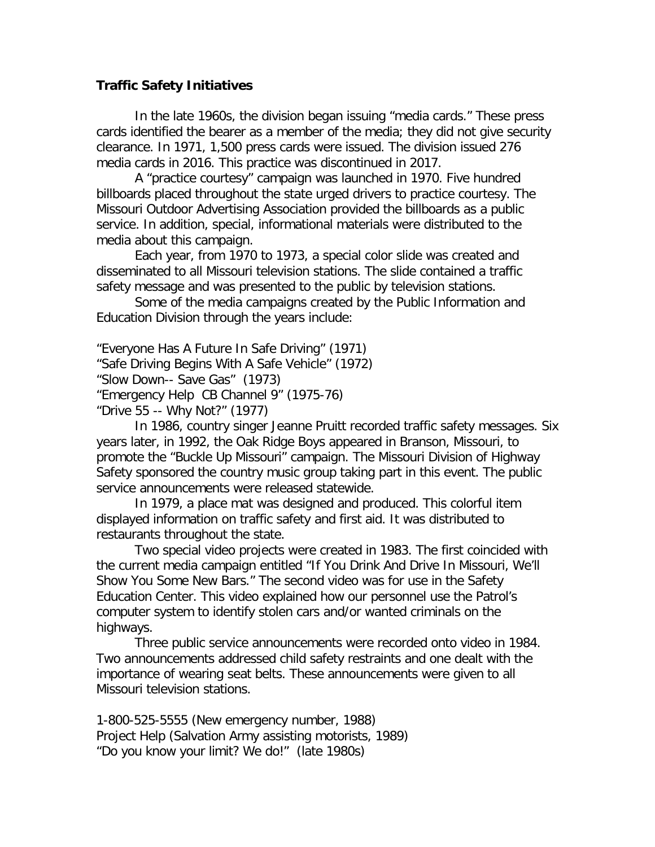### **Traffic Safety Initiatives**

In the late 1960s, the division began issuing "media cards." These press cards identified the bearer as a member of the media; they did not give security clearance. In 1971, 1,500 press cards were issued. The division issued 276 media cards in 2016. This practice was discontinued in 2017.

A "practice courtesy" campaign was launched in 1970. Five hundred billboards placed throughout the state urged drivers to practice courtesy. The Missouri Outdoor Advertising Association provided the billboards as a public service. In addition, special, informational materials were distributed to the media about this campaign.

Each year, from 1970 to 1973, a special color slide was created and disseminated to all Missouri television stations. The slide contained a traffic safety message and was presented to the public by television stations.

Some of the media campaigns created by the Public Information and Education Division through the years include:

"Everyone Has A Future In Safe Driving" (1971) "Safe Driving Begins With A Safe Vehicle" (1972) "Slow Down-- Save Gas" (1973) "Emergency Help CB Channel 9" (1975-76) "Drive 55 -- Why Not?" (1977)

In 1986, country singer Jeanne Pruitt recorded traffic safety messages. Six years later, in 1992, the Oak Ridge Boys appeared in Branson, Missouri, to promote the "Buckle Up Missouri" campaign. The Missouri Division of Highway Safety sponsored the country music group taking part in this event. The public service announcements were released statewide.

In 1979, a place mat was designed and produced. This colorful item displayed information on traffic safety and first aid. It was distributed to restaurants throughout the state.

Two special video projects were created in 1983. The first coincided with the current media campaign entitled "If You Drink And Drive In Missouri, We'll Show You Some New Bars." The second video was for use in the Safety Education Center. This video explained how our personnel use the Patrol's computer system to identify stolen cars and/or wanted criminals on the highways.

Three public service announcements were recorded onto video in 1984. Two announcements addressed child safety restraints and one dealt with the importance of wearing seat belts. These announcements were given to all Missouri television stations.

1-800-525-5555 (New emergency number, 1988) Project Help (Salvation Army assisting motorists, 1989) "Do you know your limit? We do!" (late 1980s)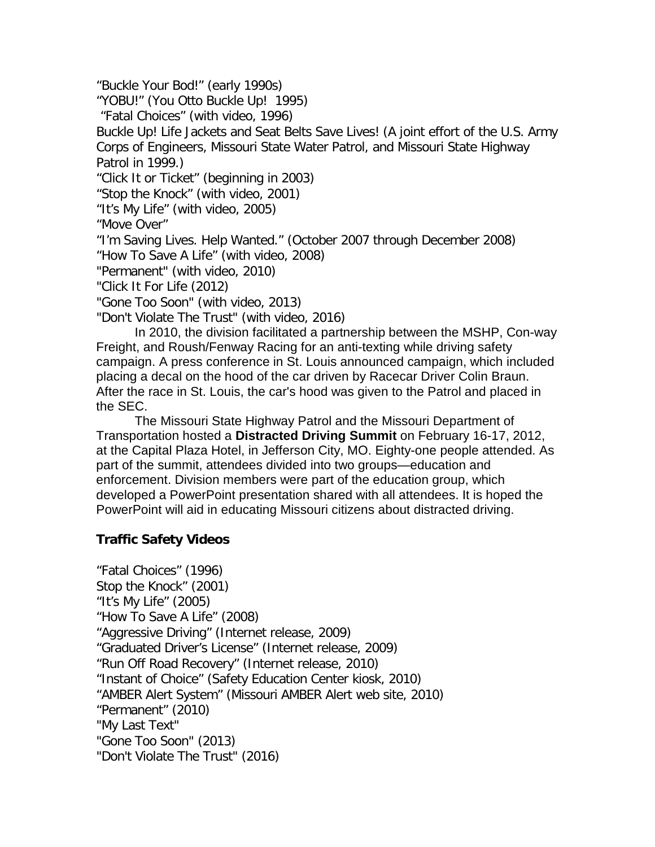"Buckle Your Bod!" (early 1990s)

"YOBU!" (You Otto Buckle Up! 1995)

"Fatal Choices" (with video, 1996)

Buckle Up! Life Jackets and Seat Belts Save Lives! (A joint effort of the U.S. Army Corps of Engineers, Missouri State Water Patrol, and Missouri State Highway Patrol in 1999.)

"Click It or Ticket" (beginning in 2003)

"Stop the Knock" (with video, 2001)

"It's My Life" (with video, 2005)

"Move Over"

"I'm Saving Lives. Help Wanted." (October 2007 through December 2008)

"How To Save A Life" (with video, 2008)

"Permanent" (with video, 2010)

"Click It For Life (2012)

"Gone Too Soon" (with video, 2013)

"Don't Violate The Trust" (with video, 2016)

In 2010, the division facilitated a partnership between the MSHP, Con-way Freight, and Roush/Fenway Racing for an anti-texting while driving safety campaign. A press conference in St. Louis announced campaign, which included placing a decal on the hood of the car driven by Racecar Driver Colin Braun. After the race in St. Louis, the car's hood was given to the Patrol and placed in the SEC.

The Missouri State Highway Patrol and the Missouri Department of Transportation hosted a **Distracted Driving Summit** on February 16-17, 2012, at the Capital Plaza Hotel, in Jefferson City, MO. Eighty-one people attended. As part of the summit, attendees divided into two groups—education and enforcement. Division members were part of the education group, which developed a PowerPoint presentation shared with all attendees. It is hoped the PowerPoint will aid in educating Missouri citizens about distracted driving.

# **Traffic Safety Videos**

"Fatal Choices" (1996) Stop the Knock" (2001) "It's My Life" (2005) "How To Save A Life" (2008) "Aggressive Driving" (Internet release, 2009) "Graduated Driver's License" (Internet release, 2009) "Run Off Road Recovery" (Internet release, 2010) "Instant of Choice" (Safety Education Center kiosk, 2010) "AMBER Alert System" (Missouri AMBER Alert web site, 2010) "Permanent" (2010) "My Last Text" "Gone Too Soon" (2013) "Don't Violate The Trust" (2016)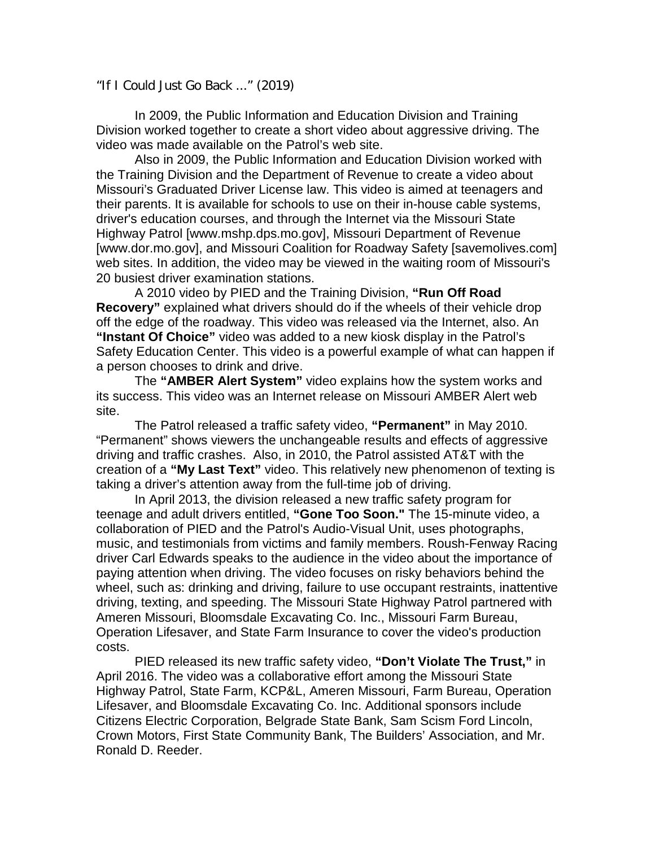"If I Could Just Go Back ..." (2019)

In 2009, the Public Information and Education Division and Training Division worked together to create a short video about aggressive driving. The video was made available on the Patrol's web site.

Also in 2009, the Public Information and Education Division worked with the Training Division and the Department of Revenue to create a video about Missouri's Graduated Driver License law. This video is aimed at teenagers and their parents. It is available for schools to use on their in-house cable systems, driver's education courses, and through the Internet via the Missouri State Highway Patrol [www.mshp.dps.mo.gov], Missouri Department of Revenue [www.dor.mo.gov], and Missouri Coalition for Roadway Safety [savemolives.com] web sites. In addition, the video may be viewed in the waiting room of Missouri's 20 busiest driver examination stations.

A 2010 video by PIED and the Training Division, **"Run Off Road Recovery"** explained what drivers should do if the wheels of their vehicle drop off the edge of the roadway. This video was released via the Internet, also. An **"Instant Of Choice"** video was added to a new kiosk display in the Patrol's Safety Education Center. This video is a powerful example of what can happen if a person chooses to drink and drive.

The **"AMBER Alert System"** video explains how the system works and its success. This video was an Internet release on Missouri AMBER Alert web site.

The Patrol released a traffic safety video, **"Permanent"** in May 2010. "Permanent" shows viewers the unchangeable results and effects of aggressive driving and traffic crashes. Also, in 2010, the Patrol assisted AT&T with the creation of a **"My Last Text"** video. This relatively new phenomenon of texting is taking a driver's attention away from the full-time job of driving.

In April 2013, the division released a new traffic safety program for teenage and adult drivers entitled, **"Gone Too Soon."** The 15-minute video, a collaboration of PIED and the Patrol's Audio-Visual Unit, uses photographs, music, and testimonials from victims and family members. Roush-Fenway Racing driver Carl Edwards speaks to the audience in the video about the importance of paying attention when driving. The video focuses on risky behaviors behind the wheel, such as: drinking and driving, failure to use occupant restraints, inattentive driving, texting, and speeding. The Missouri State Highway Patrol partnered with Ameren Missouri, Bloomsdale Excavating Co. Inc., Missouri Farm Bureau, Operation Lifesaver, and State Farm Insurance to cover the video's production costs.

PIED released its new traffic safety video, **"Don't Violate The Trust,"** in April 2016. The video was a collaborative effort among the Missouri State Highway Patrol, State Farm, KCP&L, Ameren Missouri, Farm Bureau, Operation Lifesaver, and Bloomsdale Excavating Co. Inc. Additional sponsors include Citizens Electric Corporation, Belgrade State Bank, Sam Scism Ford Lincoln, Crown Motors, First State Community Bank, The Builders' Association, and Mr. Ronald D. Reeder.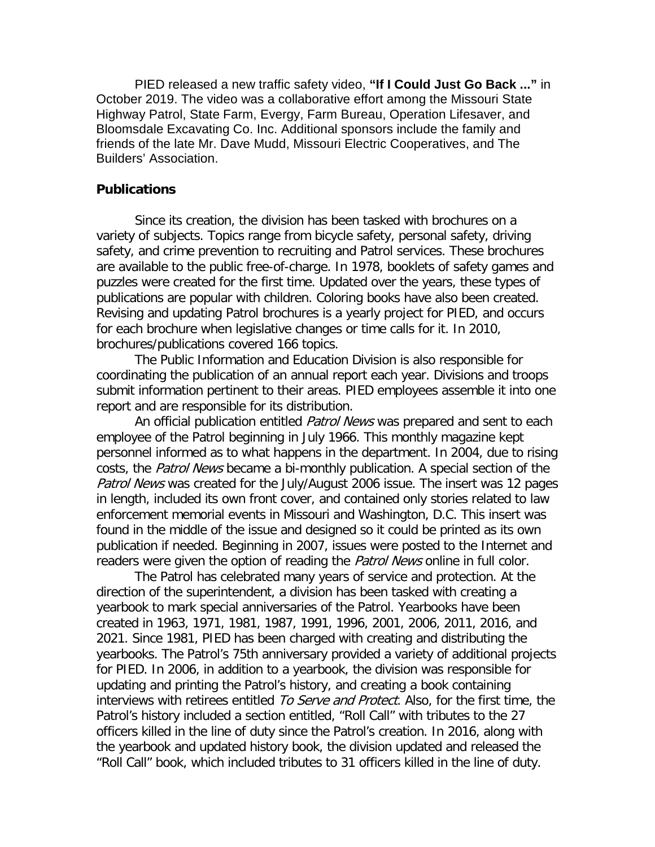PIED released a new traffic safety video, **"If I Could Just Go Back ..."** in October 2019. The video was a collaborative effort among the Missouri State Highway Patrol, State Farm, Evergy, Farm Bureau, Operation Lifesaver, and Bloomsdale Excavating Co. Inc. Additional sponsors include the family and friends of the late Mr. Dave Mudd, Missouri Electric Cooperatives, and The Builders' Association.

#### **Publications**

Since its creation, the division has been tasked with brochures on a variety of subjects. Topics range from bicycle safety, personal safety, driving safety, and crime prevention to recruiting and Patrol services. These brochures are available to the public free-of-charge. In 1978, booklets of safety games and puzzles were created for the first time. Updated over the years, these types of publications are popular with children. Coloring books have also been created. Revising and updating Patrol brochures is a yearly project for PIED, and occurs for each brochure when legislative changes or time calls for it. In 2010, brochures/publications covered 166 topics.

The Public Information and Education Division is also responsible for coordinating the publication of an annual report each year. Divisions and troops submit information pertinent to their areas. PIED employees assemble it into one report and are responsible for its distribution.

An official publication entitled Patrol News was prepared and sent to each employee of the Patrol beginning in July 1966. This monthly magazine kept personnel informed as to what happens in the department. In 2004, due to rising costs, the Patrol News became a bi-monthly publication. A special section of the Patrol News was created for the July/August 2006 issue. The insert was 12 pages in length, included its own front cover, and contained only stories related to law enforcement memorial events in Missouri and Washington, D.C. This insert was found in the middle of the issue and designed so it could be printed as its own publication if needed. Beginning in 2007, issues were posted to the Internet and readers were given the option of reading the *Patrol News* online in full color.

The Patrol has celebrated many years of service and protection. At the direction of the superintendent, a division has been tasked with creating a yearbook to mark special anniversaries of the Patrol. Yearbooks have been created in 1963, 1971, 1981, 1987, 1991, 1996, 2001, 2006, 2011, 2016, and 2021. Since 1981, PIED has been charged with creating and distributing the yearbooks. The Patrol's 75th anniversary provided a variety of additional projects for PIED. In 2006, in addition to a yearbook, the division was responsible for updating and printing the Patrol's history, and creating a book containing interviews with retirees entitled To Serve and Protect. Also, for the first time, the Patrol's history included a section entitled, "Roll Call" with tributes to the 27 officers killed in the line of duty since the Patrol's creation. In 2016, along with the yearbook and updated history book, the division updated and released the "Roll Call" book, which included tributes to 31 officers killed in the line of duty.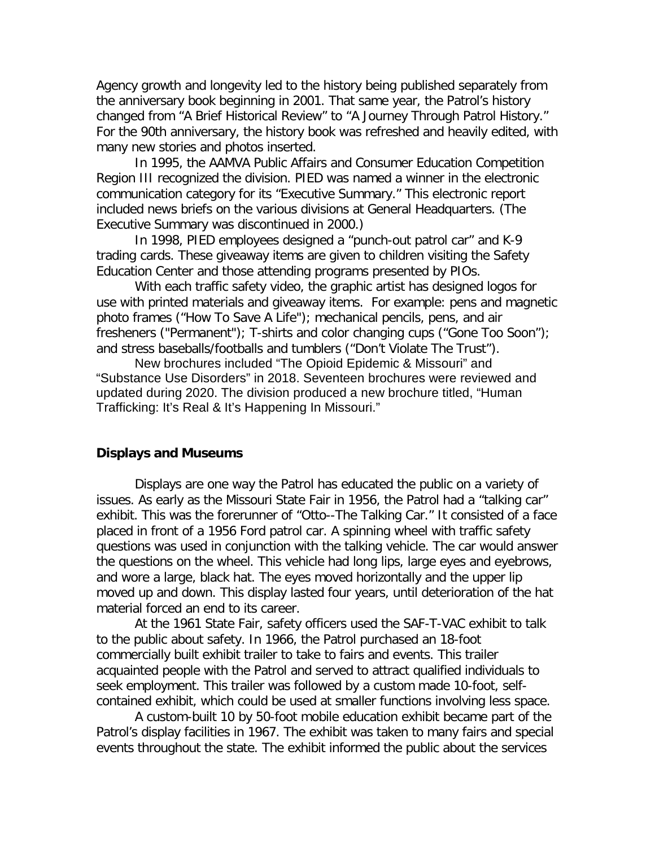Agency growth and longevity led to the history being published separately from the anniversary book beginning in 2001. That same year, the Patrol's history changed from "A Brief Historical Review" to "A Journey Through Patrol History." For the 90th anniversary, the history book was refreshed and heavily edited, with many new stories and photos inserted.

In 1995, the AAMVA Public Affairs and Consumer Education Competition Region III recognized the division. PIED was named a winner in the electronic communication category for its "Executive Summary." This electronic report included news briefs on the various divisions at General Headquarters. (The Executive Summary was discontinued in 2000.)

In 1998, PIED employees designed a "punch-out patrol car" and K-9 trading cards. These giveaway items are given to children visiting the Safety Education Center and those attending programs presented by PIOs.

With each traffic safety video, the graphic artist has designed logos for use with printed materials and giveaway items. For example: pens and magnetic photo frames ("How To Save A Life"); mechanical pencils, pens, and air fresheners ("Permanent"); T-shirts and color changing cups ("Gone Too Soon"); and stress baseballs/footballs and tumblers ("Don't Violate The Trust").

New brochures included "The Opioid Epidemic & Missouri" and "Substance Use Disorders" in 2018. Seventeen brochures were reviewed and updated during 2020. The division produced a new brochure titled, "Human Trafficking: It's Real & It's Happening In Missouri."

#### **Displays and Museums**

Displays are one way the Patrol has educated the public on a variety of issues. As early as the Missouri State Fair in 1956, the Patrol had a "talking car" exhibit. This was the forerunner of "Otto--The Talking Car." It consisted of a face placed in front of a 1956 Ford patrol car. A spinning wheel with traffic safety questions was used in conjunction with the talking vehicle. The car would answer the questions on the wheel. This vehicle had long lips, large eyes and eyebrows, and wore a large, black hat. The eyes moved horizontally and the upper lip moved up and down. This display lasted four years, until deterioration of the hat material forced an end to its career.

At the 1961 State Fair, safety officers used the SAF-T-VAC exhibit to talk to the public about safety. In 1966, the Patrol purchased an 18-foot commercially built exhibit trailer to take to fairs and events. This trailer acquainted people with the Patrol and served to attract qualified individuals to seek employment. This trailer was followed by a custom made 10-foot, selfcontained exhibit, which could be used at smaller functions involving less space.

A custom-built 10 by 50-foot mobile education exhibit became part of the Patrol's display facilities in 1967. The exhibit was taken to many fairs and special events throughout the state. The exhibit informed the public about the services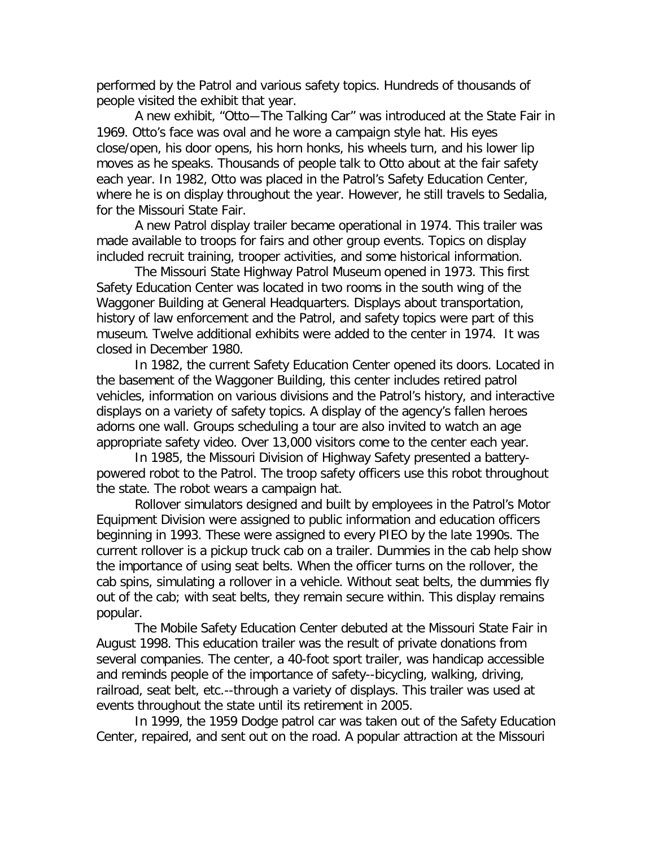performed by the Patrol and various safety topics. Hundreds of thousands of people visited the exhibit that year.

A new exhibit, "Otto―The Talking Car" was introduced at the State Fair in 1969. Otto's face was oval and he wore a campaign style hat. His eyes close/open, his door opens, his horn honks, his wheels turn, and his lower lip moves as he speaks. Thousands of people talk to Otto about at the fair safety each year. In 1982, Otto was placed in the Patrol's Safety Education Center, where he is on display throughout the year. However, he still travels to Sedalia, for the Missouri State Fair.

A new Patrol display trailer became operational in 1974. This trailer was made available to troops for fairs and other group events. Topics on display included recruit training, trooper activities, and some historical information.

The Missouri State Highway Patrol Museum opened in 1973. This first Safety Education Center was located in two rooms in the south wing of the Waggoner Building at General Headquarters. Displays about transportation, history of law enforcement and the Patrol, and safety topics were part of this museum. Twelve additional exhibits were added to the center in 1974. It was closed in December 1980.

In 1982, the current Safety Education Center opened its doors. Located in the basement of the Waggoner Building, this center includes retired patrol vehicles, information on various divisions and the Patrol's history, and interactive displays on a variety of safety topics. A display of the agency's fallen heroes adorns one wall. Groups scheduling a tour are also invited to watch an age appropriate safety video. Over 13,000 visitors come to the center each year.

In 1985, the Missouri Division of Highway Safety presented a batterypowered robot to the Patrol. The troop safety officers use this robot throughout the state. The robot wears a campaign hat.

Rollover simulators designed and built by employees in the Patrol's Motor Equipment Division were assigned to public information and education officers beginning in 1993. These were assigned to every PIEO by the late 1990s. The current rollover is a pickup truck cab on a trailer. Dummies in the cab help show the importance of using seat belts. When the officer turns on the rollover, the cab spins, simulating a rollover in a vehicle. Without seat belts, the dummies fly out of the cab; with seat belts, they remain secure within. This display remains popular.

The Mobile Safety Education Center debuted at the Missouri State Fair in August 1998. This education trailer was the result of private donations from several companies. The center, a 40-foot sport trailer, was handicap accessible and reminds people of the importance of safety--bicycling, walking, driving, railroad, seat belt, etc.--through a variety of displays. This trailer was used at events throughout the state until its retirement in 2005.

In 1999, the 1959 Dodge patrol car was taken out of the Safety Education Center, repaired, and sent out on the road. A popular attraction at the Missouri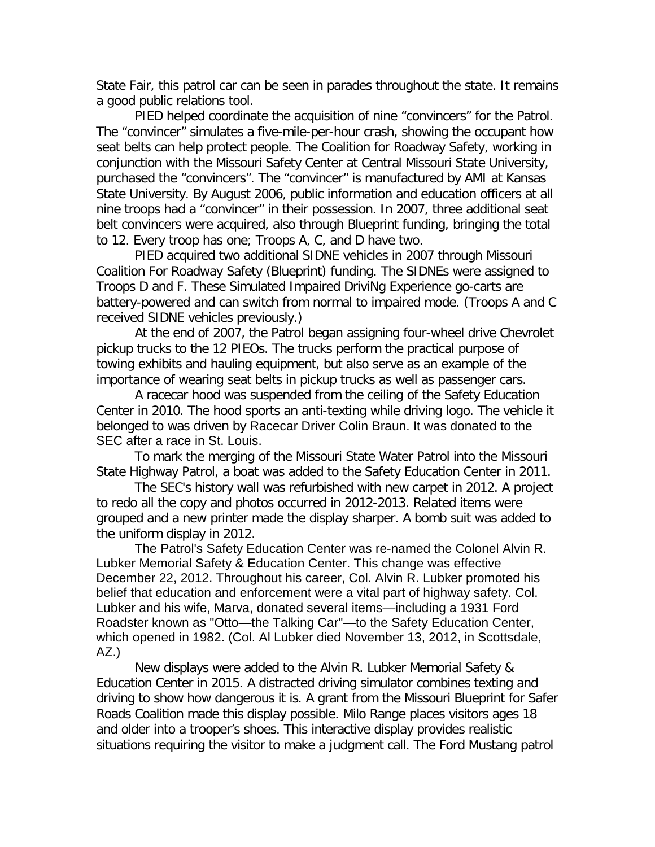State Fair, this patrol car can be seen in parades throughout the state. It remains a good public relations tool.

PIED helped coordinate the acquisition of nine "convincers" for the Patrol. The "convincer" simulates a five-mile-per-hour crash, showing the occupant how seat belts can help protect people. The Coalition for Roadway Safety, working in conjunction with the Missouri Safety Center at Central Missouri State University, purchased the "convincers". The "convincer" is manufactured by AMI at Kansas State University. By August 2006, public information and education officers at all nine troops had a "convincer" in their possession. In 2007, three additional seat belt convincers were acquired, also through Blueprint funding, bringing the total to 12. Every troop has one; Troops A, C, and D have two.

PIED acquired two additional SIDNE vehicles in 2007 through Missouri Coalition For Roadway Safety (Blueprint) funding. The SIDNEs were assigned to Troops D and F. These Simulated Impaired DriviNg Experience go-carts are battery-powered and can switch from normal to impaired mode. (Troops A and C received SIDNE vehicles previously.)

At the end of 2007, the Patrol began assigning four-wheel drive Chevrolet pickup trucks to the 12 PIEOs. The trucks perform the practical purpose of towing exhibits and hauling equipment, but also serve as an example of the importance of wearing seat belts in pickup trucks as well as passenger cars.

A racecar hood was suspended from the ceiling of the Safety Education Center in 2010. The hood sports an anti-texting while driving logo. The vehicle it belonged to was driven by Racecar Driver Colin Braun. It was donated to the SEC after a race in St. Louis.

To mark the merging of the Missouri State Water Patrol into the Missouri State Highway Patrol, a boat was added to the Safety Education Center in 2011.

The SEC's history wall was refurbished with new carpet in 2012. A project to redo all the copy and photos occurred in 2012-2013. Related items were grouped and a new printer made the display sharper. A bomb suit was added to the uniform display in 2012.

The Patrol's Safety Education Center was re-named the Colonel Alvin R. Lubker Memorial Safety & Education Center. This change was effective December 22, 2012. Throughout his career, Col. Alvin R. Lubker promoted his belief that education and enforcement were a vital part of highway safety. Col. Lubker and his wife, Marva, donated several items—including a 1931 Ford Roadster known as "Otto—the Talking Car"—to the Safety Education Center, which opened in 1982. (Col. Al Lubker died November 13, 2012, in Scottsdale, AZ.)

New displays were added to the Alvin R. Lubker Memorial Safety & Education Center in 2015. A distracted driving simulator combines texting and driving to show how dangerous it is. A grant from the Missouri Blueprint for Safer Roads Coalition made this display possible. Milo Range places visitors ages 18 and older into a trooper's shoes. This interactive display provides realistic situations requiring the visitor to make a judgment call. The Ford Mustang patrol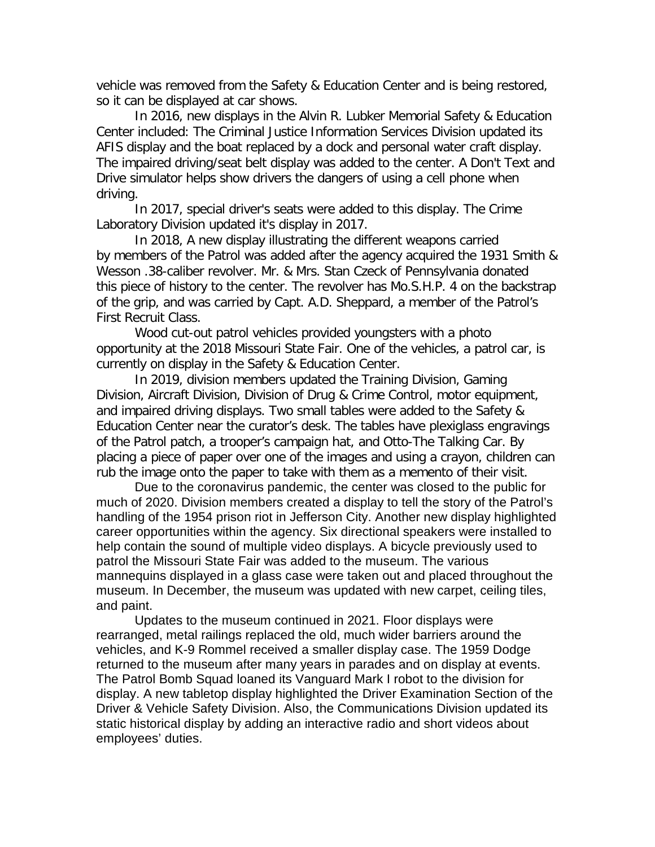vehicle was removed from the Safety & Education Center and is being restored, so it can be displayed at car shows.

In 2016, new displays in the Alvin R. Lubker Memorial Safety & Education Center included: The Criminal Justice Information Services Division updated its AFIS display and the boat replaced by a dock and personal water craft display. The impaired driving/seat belt display was added to the center. A Don't Text and Drive simulator helps show drivers the dangers of using a cell phone when driving.

In 2017, special driver's seats were added to this display. The Crime Laboratory Division updated it's display in 2017.

In 2018, A new display illustrating the different weapons carried by members of the Patrol was added after the agency acquired the 1931 Smith & Wesson .38-caliber revolver. Mr. & Mrs. Stan Czeck of Pennsylvania donated this piece of history to the center. The revolver has Mo.S.H.P. 4 on the backstrap of the grip, and was carried by Capt. A.D. Sheppard, a member of the Patrol's First Recruit Class.

Wood cut-out patrol vehicles provided youngsters with a photo opportunity at the 2018 Missouri State Fair. One of the vehicles, a patrol car, is currently on display in the Safety & Education Center.

In 2019, division members updated the Training Division, Gaming Division, Aircraft Division, Division of Drug & Crime Control, motor equipment, and impaired driving displays. Two small tables were added to the Safety & Education Center near the curator's desk. The tables have plexiglass engravings of the Patrol patch, a trooper's campaign hat, and Otto-The Talking Car. By placing a piece of paper over one of the images and using a crayon, children can rub the image onto the paper to take with them as a memento of their visit.

Due to the coronavirus pandemic, the center was closed to the public for much of 2020. Division members created a display to tell the story of the Patrol's handling of the 1954 prison riot in Jefferson City. Another new display highlighted career opportunities within the agency. Six directional speakers were installed to help contain the sound of multiple video displays. A bicycle previously used to patrol the Missouri State Fair was added to the museum. The various mannequins displayed in a glass case were taken out and placed throughout the museum. In December, the museum was updated with new carpet, ceiling tiles, and paint.

Updates to the museum continued in 2021. Floor displays were rearranged, metal railings replaced the old, much wider barriers around the vehicles, and K-9 Rommel received a smaller display case. The 1959 Dodge returned to the museum after many years in parades and on display at events. The Patrol Bomb Squad loaned its Vanguard Mark I robot to the division for display. A new tabletop display highlighted the Driver Examination Section of the Driver & Vehicle Safety Division. Also, the Communications Division updated its static historical display by adding an interactive radio and short videos about employees' duties.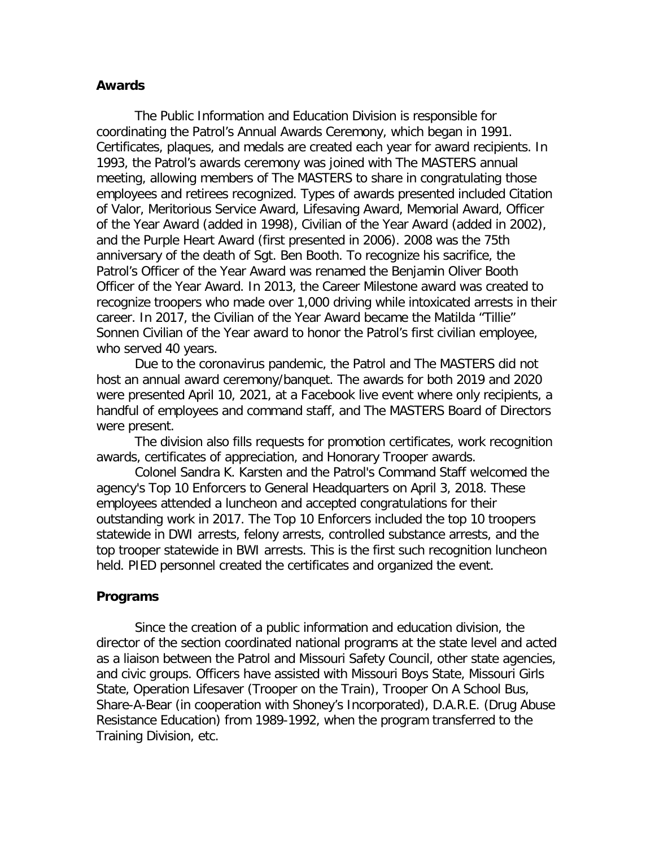#### **Awards**

The Public Information and Education Division is responsible for coordinating the Patrol's Annual Awards Ceremony, which began in 1991. Certificates, plaques, and medals are created each year for award recipients. In 1993, the Patrol's awards ceremony was joined with The MASTERS annual meeting, allowing members of The MASTERS to share in congratulating those employees and retirees recognized. Types of awards presented included Citation of Valor, Meritorious Service Award, Lifesaving Award, Memorial Award, Officer of the Year Award (added in 1998), Civilian of the Year Award (added in 2002), and the Purple Heart Award (first presented in 2006). 2008 was the 75th anniversary of the death of Sgt. Ben Booth. To recognize his sacrifice, the Patrol's Officer of the Year Award was renamed the Benjamin Oliver Booth Officer of the Year Award. In 2013, the Career Milestone award was created to recognize troopers who made over 1,000 driving while intoxicated arrests in their career. In 2017, the Civilian of the Year Award became the Matilda "Tillie" Sonnen Civilian of the Year award to honor the Patrol's first civilian employee, who served 40 years.

Due to the coronavirus pandemic, the Patrol and The MASTERS did not host an annual award ceremony/banquet. The awards for both 2019 and 2020 were presented April 10, 2021, at a Facebook live event where only recipients, a handful of employees and command staff, and The MASTERS Board of Directors were present.

The division also fills requests for promotion certificates, work recognition awards, certificates of appreciation, and Honorary Trooper awards.

Colonel Sandra K. Karsten and the Patrol's Command Staff welcomed the agency's Top 10 Enforcers to General Headquarters on April 3, 2018. These employees attended a luncheon and accepted congratulations for their outstanding work in 2017. The Top 10 Enforcers included the top 10 troopers statewide in DWI arrests, felony arrests, controlled substance arrests, and the top trooper statewide in BWI arrests. This is the first such recognition luncheon held. PIED personnel created the certificates and organized the event.

#### **Programs**

Since the creation of a public information and education division, the director of the section coordinated national programs at the state level and acted as a liaison between the Patrol and Missouri Safety Council, other state agencies, and civic groups. Officers have assisted with Missouri Boys State, Missouri Girls State, Operation Lifesaver (Trooper on the Train), Trooper On A School Bus, Share-A-Bear (in cooperation with Shoney's Incorporated), D.A.R.E. (Drug Abuse Resistance Education) from 1989-1992, when the program transferred to the Training Division, etc.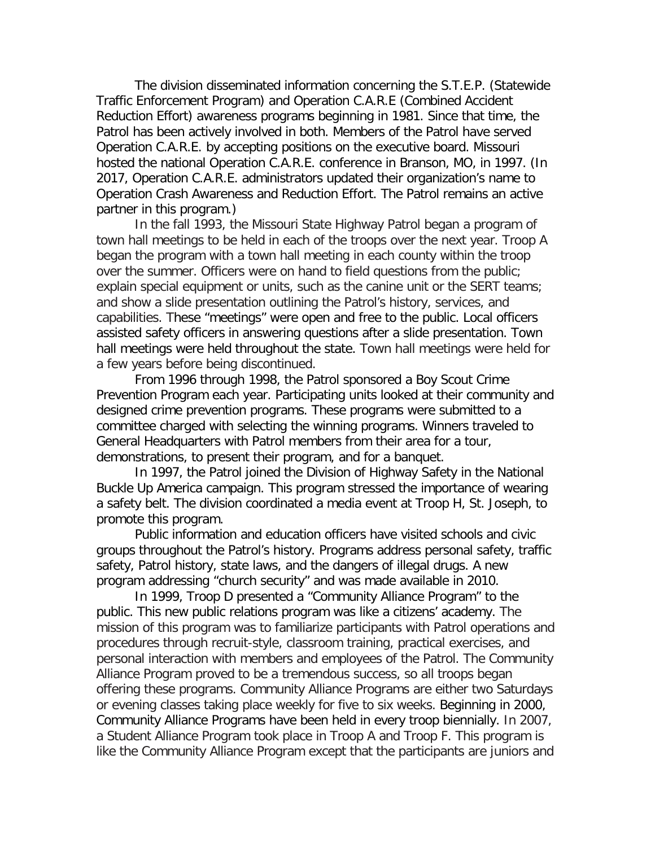The division disseminated information concerning the S.T.E.P. (Statewide Traffic Enforcement Program) and Operation C.A.R.E (Combined Accident Reduction Effort) awareness programs beginning in 1981. Since that time, the Patrol has been actively involved in both. Members of the Patrol have served Operation C.A.R.E. by accepting positions on the executive board. Missouri hosted the national Operation C.A.R.E. conference in Branson, MO, in 1997. (In 2017, Operation C.A.R.E. administrators updated their organization's name to Operation Crash Awareness and Reduction Effort. The Patrol remains an active partner in this program.)

In the fall 1993, the Missouri State Highway Patrol began a program of town hall meetings to be held in each of the troops over the next year. Troop A began the program with a town hall meeting in each county within the troop over the summer. Officers were on hand to field questions from the public; explain special equipment or units, such as the canine unit or the SERT teams; and show a slide presentation outlining the Patrol's history, services, and capabilities. These "meetings" were open and free to the public. Local officers assisted safety officers in answering questions after a slide presentation. Town hall meetings were held throughout the state. Town hall meetings were held for a few years before being discontinued.

From 1996 through 1998, the Patrol sponsored a Boy Scout Crime Prevention Program each year. Participating units looked at their community and designed crime prevention programs. These programs were submitted to a committee charged with selecting the winning programs. Winners traveled to General Headquarters with Patrol members from their area for a tour, demonstrations, to present their program, and for a banquet.

In 1997, the Patrol joined the Division of Highway Safety in the National Buckle Up America campaign. This program stressed the importance of wearing a safety belt. The division coordinated a media event at Troop H, St. Joseph, to promote this program.

Public information and education officers have visited schools and civic groups throughout the Patrol's history. Programs address personal safety, traffic safety, Patrol history, state laws, and the dangers of illegal drugs. A new program addressing "church security" and was made available in 2010.

In 1999, Troop D presented a "Community Alliance Program" to the public. This new public relations program was like a citizens' academy. The mission of this program was to familiarize participants with Patrol operations and procedures through recruit-style, classroom training, practical exercises, and personal interaction with members and employees of the Patrol. The Community Alliance Program proved to be a tremendous success, so all troops began offering these programs. Community Alliance Programs are either two Saturdays or evening classes taking place weekly for five to six weeks. Beginning in 2000, Community Alliance Programs have been held in every troop biennially. In 2007, a Student Alliance Program took place in Troop A and Troop F. This program is like the Community Alliance Program except that the participants are juniors and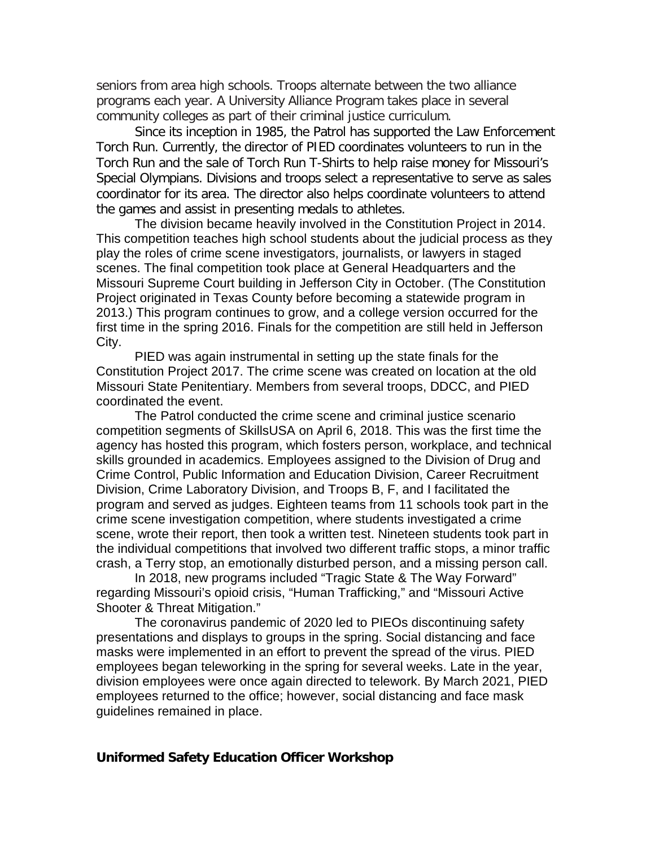seniors from area high schools. Troops alternate between the two alliance programs each year. A University Alliance Program takes place in several community colleges as part of their criminal justice curriculum.

Since its inception in 1985, the Patrol has supported the Law Enforcement Torch Run. Currently, the director of PIED coordinates volunteers to run in the Torch Run and the sale of Torch Run T-Shirts to help raise money for Missouri's Special Olympians. Divisions and troops select a representative to serve as sales coordinator for its area. The director also helps coordinate volunteers to attend the games and assist in presenting medals to athletes.

The division became heavily involved in the Constitution Project in 2014. This competition teaches high school students about the judicial process as they play the roles of crime scene investigators, journalists, or lawyers in staged scenes. The final competition took place at General Headquarters and the Missouri Supreme Court building in Jefferson City in October. (The Constitution Project originated in Texas County before becoming a statewide program in 2013.) This program continues to grow, and a college version occurred for the first time in the spring 2016. Finals for the competition are still held in Jefferson City.

PIED was again instrumental in setting up the state finals for the Constitution Project 2017. The crime scene was created on location at the old Missouri State Penitentiary. Members from several troops, DDCC, and PIED coordinated the event.

The Patrol conducted the crime scene and criminal justice scenario competition segments of SkillsUSA on April 6, 2018. This was the first time the agency has hosted this program, which fosters person, workplace, and technical skills grounded in academics. Employees assigned to the Division of Drug and Crime Control, Public Information and Education Division, Career Recruitment Division, Crime Laboratory Division, and Troops B, F, and I facilitated the program and served as judges. Eighteen teams from 11 schools took part in the crime scene investigation competition, where students investigated a crime scene, wrote their report, then took a written test. Nineteen students took part in the individual competitions that involved two different traffic stops, a minor traffic crash, a Terry stop, an emotionally disturbed person, and a missing person call.

In 2018, new programs included "Tragic State & The Way Forward" regarding Missouri's opioid crisis, "Human Trafficking," and "Missouri Active Shooter & Threat Mitigation."

The coronavirus pandemic of 2020 led to PIEOs discontinuing safety presentations and displays to groups in the spring. Social distancing and face masks were implemented in an effort to prevent the spread of the virus. PIED employees began teleworking in the spring for several weeks. Late in the year, division employees were once again directed to telework. By March 2021, PIED employees returned to the office; however, social distancing and face mask guidelines remained in place.

#### **Uniformed Safety Education Officer Workshop**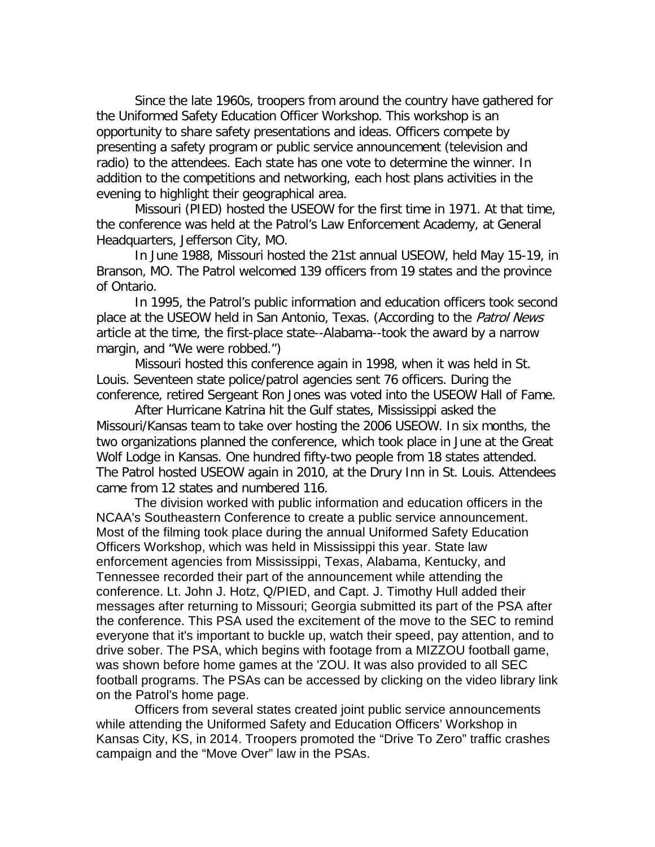Since the late 1960s, troopers from around the country have gathered for the Uniformed Safety Education Officer Workshop. This workshop is an opportunity to share safety presentations and ideas. Officers compete by presenting a safety program or public service announcement (television and radio) to the attendees. Each state has one vote to determine the winner. In addition to the competitions and networking, each host plans activities in the evening to highlight their geographical area.

Missouri (PIED) hosted the USEOW for the first time in 1971. At that time, the conference was held at the Patrol's Law Enforcement Academy, at General Headquarters, Jefferson City, MO.

In June 1988, Missouri hosted the 21st annual USEOW, held May 15-19, in Branson, MO. The Patrol welcomed 139 officers from 19 states and the province of Ontario.

In 1995, the Patrol's public information and education officers took second place at the USEOW held in San Antonio, Texas. (According to the Patrol News article at the time, the first-place state--Alabama--took the award by a narrow margin, and "We were robbed.")

Missouri hosted this conference again in 1998, when it was held in St. Louis. Seventeen state police/patrol agencies sent 76 officers. During the conference, retired Sergeant Ron Jones was voted into the USEOW Hall of Fame.

After Hurricane Katrina hit the Gulf states, Mississippi asked the Missouri/Kansas team to take over hosting the 2006 USEOW. In six months, the two organizations planned the conference, which took place in June at the Great Wolf Lodge in Kansas. One hundred fifty-two people from 18 states attended. The Patrol hosted USEOW again in 2010, at the Drury Inn in St. Louis. Attendees came from 12 states and numbered 116.

The division worked with public information and education officers in the NCAA's Southeastern Conference to create a public service announcement. Most of the filming took place during the annual Uniformed Safety Education Officers Workshop, which was held in Mississippi this year. State law enforcement agencies from Mississippi, Texas, Alabama, Kentucky, and Tennessee recorded their part of the announcement while attending the conference. Lt. John J. Hotz, Q/PIED, and Capt. J. Timothy Hull added their messages after returning to Missouri; Georgia submitted its part of the PSA after the conference. This PSA used the excitement of the move to the SEC to remind everyone that it's important to buckle up, watch their speed, pay attention, and to drive sober. The PSA, which begins with footage from a MIZZOU football game, was shown before home games at the 'ZOU. It was also provided to all SEC football programs. The PSAs can be accessed by clicking on the video library link on the Patrol's home page.

Officers from several states created joint public service announcements while attending the Uniformed Safety and Education Officers' Workshop in Kansas City, KS, in 2014. Troopers promoted the "Drive To Zero" traffic crashes campaign and the "Move Over" law in the PSAs.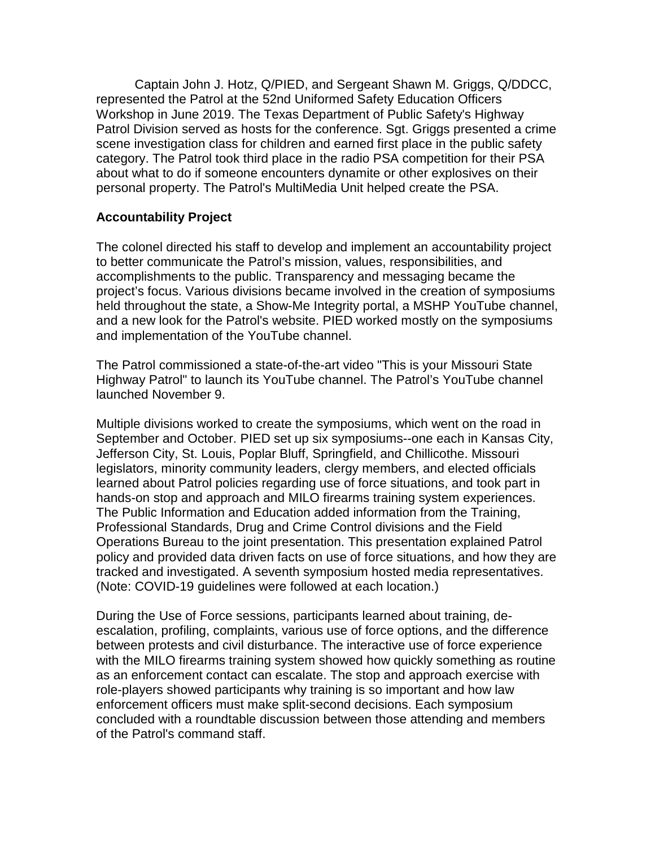Captain John J. Hotz, Q/PIED, and Sergeant Shawn M. Griggs, Q/DDCC, represented the Patrol at the 52nd Uniformed Safety Education Officers Workshop in June 2019. The Texas Department of Public Safety's Highway Patrol Division served as hosts for the conference. Sgt. Griggs presented a crime scene investigation class for children and earned first place in the public safety category. The Patrol took third place in the radio PSA competition for their PSA about what to do if someone encounters dynamite or other explosives on their personal property. The Patrol's MultiMedia Unit helped create the PSA.

## **Accountability Project**

The colonel directed his staff to develop and implement an accountability project to better communicate the Patrol's mission, values, responsibilities, and accomplishments to the public. Transparency and messaging became the project's focus. Various divisions became involved in the creation of symposiums held throughout the state, a Show-Me Integrity portal, a MSHP YouTube channel, and a new look for the Patrol's website. PIED worked mostly on the symposiums and implementation of the YouTube channel.

The Patrol commissioned a state-of-the-art video "This is your Missouri State Highway Patrol" to launch its YouTube channel. The Patrol's YouTube channel launched November 9.

Multiple divisions worked to create the symposiums, which went on the road in September and October. PIED set up six symposiums--one each in Kansas City, Jefferson City, St. Louis, Poplar Bluff, Springfield, and Chillicothe. Missouri legislators, minority community leaders, clergy members, and elected officials learned about Patrol policies regarding use of force situations, and took part in hands-on stop and approach and MILO firearms training system experiences. The Public Information and Education added information from the Training, Professional Standards, Drug and Crime Control divisions and the Field Operations Bureau to the joint presentation. This presentation explained Patrol policy and provided data driven facts on use of force situations, and how they are tracked and investigated. A seventh symposium hosted media representatives. (Note: COVID-19 guidelines were followed at each location.)

During the Use of Force sessions, participants learned about training, deescalation, profiling, complaints, various use of force options, and the difference between protests and civil disturbance. The interactive use of force experience with the MILO firearms training system showed how quickly something as routine as an enforcement contact can escalate. The stop and approach exercise with role-players showed participants why training is so important and how law enforcement officers must make split-second decisions. Each symposium concluded with a roundtable discussion between those attending and members of the Patrol's command staff.